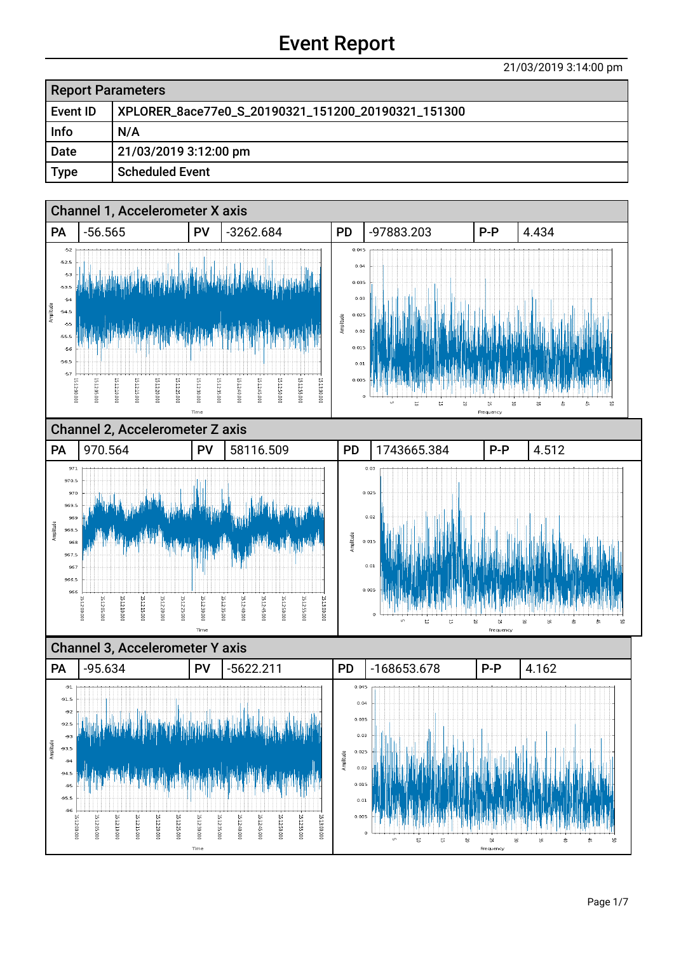| <b>Report Parameters</b> |                                                    |
|--------------------------|----------------------------------------------------|
| Event ID                 | XPLORER_8ace77e0_S_20190321_151200_20190321_151300 |
| Info                     | N/A                                                |
| Date                     | 21/03/2019 3:12:00 pm                              |
| Type                     | <b>Scheduled Event</b>                             |

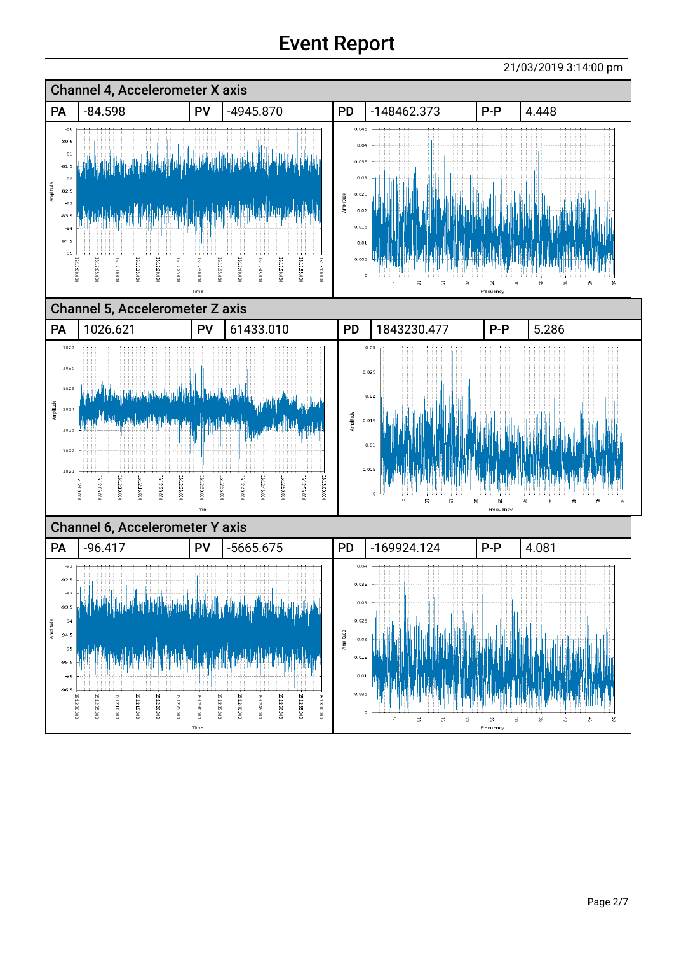21/03/2019 3:14:00 pm Channel 4, Accelerometer X axis PA -84.598 PV -4945.870 PD -148462.373 P-P 4.448  $\overline{30}$  $0.045$  $-80.5$  $0.04$  $-81$  $0.035$  $-81.5$  $\overline{3}$  $0.03$ Amplitude  $-82.5$  $0.025$ Amplitude -83  $0.02$ -83.5 -84  $0.015$  $-84.5$  $0.01$  $-85$  $0.005$ IS:12:05.000 15:12:10.000 15:12:15.000 IS:12:20.000 IS:12:25.000 15:12:30.000 15:12:35.000 15:12:40.000 IS:12:45.000 15:12:50.000 15:12:55.000 15:13:00.000 15:12:00.000  $\sim$  $\overline{a}$  $\frac{1}{5}$  $\alpha$ Fre que Channel 5, Accelerometer Z axis PA | 1026.621 | PV | 61433.010 | PD | 1843230.477 | P-P | 5.286 1027  $0.0$  $1026$  $0.025$ 1025  $0.05$ Amplitude 1024 Amplitude  $0.015$ 1023  $0.01$ 1022 1021 15:12:00.000 15:12:10.000 15:12:15.000 15:12:20:000 15:12:30.000 15:12:35.000 15:12:45.000 15:12:55.000 15:13:00:000 15:12:05.000 15:12:25.000 15:12:40.000 15:12:50.000 ė  $\alpha$  $\overline{a}$  $\approx$ .<br>Tim Frequency Channel 6, Accelerometer Y axis PA -96.417 PV -5665.675 PD -169924.124 P-P 4.081  $-92$  $0.04$  $-92.5$ 0.035 -93  $0.03$ -93.5  $-94$  $0.025$ Amplitude  $-94.5$ molitude  $0.02$ -95  $0.015$  $-95.5$ .<br>96  $0.01$ -96.  $0.005$ 15:12:35.000 15:12:00.000 I5:12:05.000 IS:12:10.000 15:12:40.000 IS:12:45.000 IS:12:50.000 IS:13:00.000 15:12:15.000 15:12:20:000 15:12:25.000 15:12:30.000 15:12:55.000  $\alpha$  $\triangleright$ .<br>Time .<br>Fre au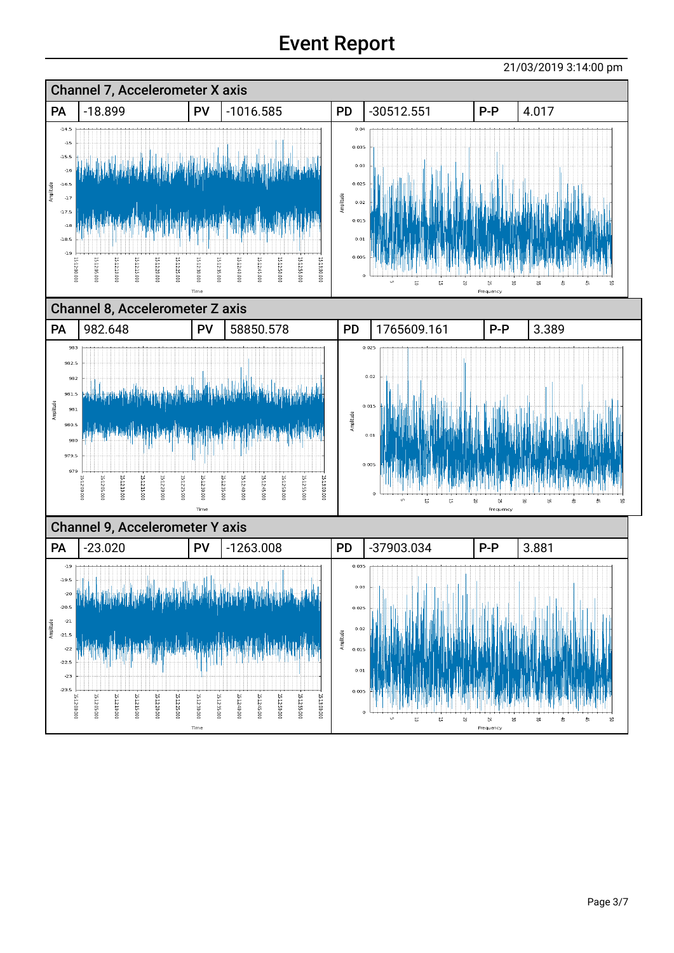21/03/2019 3:14:00 pm Channel 7, Accelerometer X axis PA -18.899 PV -1016.585 PD -30512.551 P-P 4.017  $-14.5$  $0.04$  $45$  $0.035$  $-15.5$  $0.03$  $-16$  $-16.5$  $0.025$ Amplitude  $\overline{a}$ mplitude  $0.02$  $-175$  $0.015$  $-18$  $0.01$  $-18.5$  $-1.9$  $0.00$ 15:12:00.000 15:12:10.000 15:12:15.000 15:12:20.000 15:12:25.000 15:12:30.000 15:12:35.000 IS:12:40.000 IS:12:45.000 15:12:50:000 15:12:55.000 15:13:00.000 15:12:05.000  $\approx$  $\alpha$ Freque Channel 8, Accelerometer Z axis PA 982.648 | PV 58850.578 | PD 1765609.161 | P-P 3.389 983  $0.025$ 982.5 982  $0.02$ 981.5 Amplitude  $0.01$ 981 Amplitude 980.5  $0.01$ 98 979.  $0.005$ 975  $-15:12:45.000$ 15:12:15.000 15:12:00.000 15:12:35.000 15:12:40:000 15:12:50.000 15:12:55.000 15:13:00:000 15:12:05.000 15:12:10.000 15:12:20.000 15:12:25.000 15:12:30.000  $\frac{1}{5}$  $\alpha$ S, Tim) Frequency Channel 9, Accelerometer Y axis PA -23.020 PV -1263.008 PD -37903.034 P-P 3.881  $\overline{49}$  $0.035$  $-19.5$  $0.03$  $-20$  $-20.5$  $0.025$  $-21$ Amplitude  $0.02$ Amplitude  $-21.5$  $-22$  $0.015$  $-22.5$  $0.01$  $-23$  $-23.5$  $0.00$ 15:12:55.000 15:12:00.000 15:12:10.000 IS:12:15.000 15:12:25.000 15:12:40.000 15:12:45.000 15:12:50.000 15:13:00.000 15:12:05.000 15:12:20.000 15:12:30.000 15:12:35.000  $\alpha$  $\sim$ **Time** .<br>reau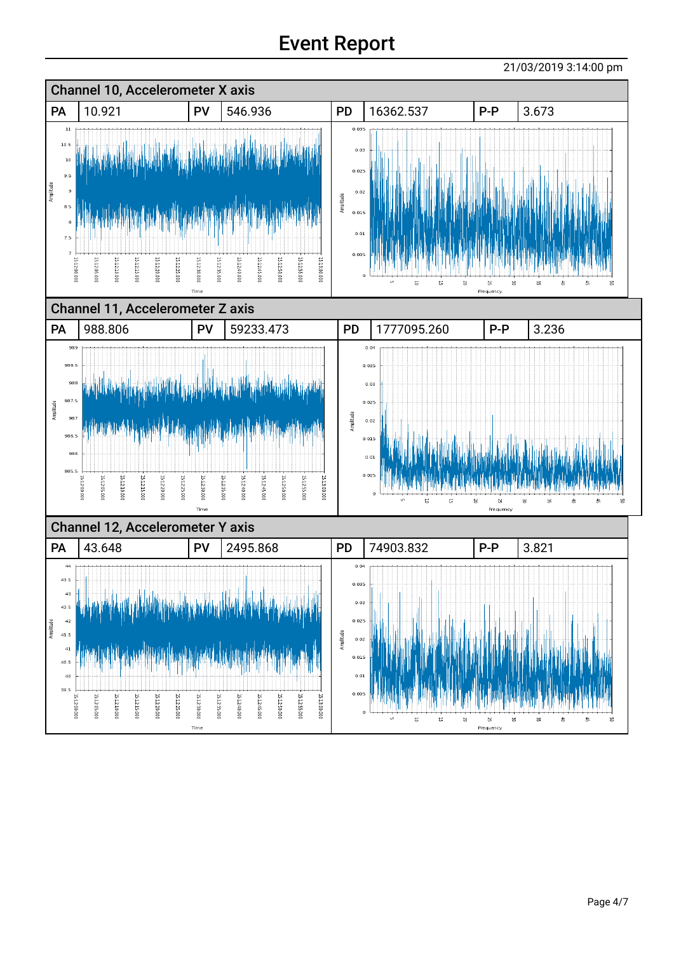21/03/2019 3:14:00 pm Channel 10, Accelerometer X axis PA 10.921 PV 546.936 PD 16362.537 P-P 3.673  $\mathbf{r}$  $0.035$  $10.5$  $0.03$  $10$  $0.025$  $9.5$ Amplitude  $\overline{9}$  $0.02$ Amplitude 8.5  $0.015$  $\epsilon$  $0.01$  $75$  $0.005$ 15:12:55.000 15:12:00.000 15:12:05.000 15:12:10.000 15:12:15.000 15:12:20.000 IS:12:25.000 15:12:30.000 15:12:35.000 15:12:40:000 15:12:45.000 15:12:50:000 IS:13:00.000  $\overline{a}$  $\overline{a}$  $\sim$  $\alpha$ Fre au d Channel 11, Accelerometer Z axis PA 988.806 | PV 59233.473 | PD 1777095.260 | P-P 3.236 989  $0.0$ 988.  $0.035$ 988  $0.03$ 987.5 Amplitude  $0.025$ Amplitude 98  $0.02$ 986.  $0.015$ 98  $0.01$ 985.  $0.00$  $-15:12:45.000$ 15:12:15.000 15:12:00.000 15:12:10:000 15:12:35.000 15:12:40:000 15:12:50.000 15:12:55.000 15:13:00:000 15112:05.000 5:12:20.000 L5:12:25.000 15:12:30.000  $\frac{1}{5}$  $\alpha$  $\approx$ Tim) Frequency Channel 12, Accelerometer Y axis PA 43.648 PV 2495.868 PD 74903.832 P-P 3.821  $\overline{44}$  $0.04$  $43.5$  $0.035$  $43$  $0.03$  $42.5$  $42$  $0.025$ Amplitude  $41.5$ Amplitude  $0.02$  $\overline{41}$  $0.01$  $40.5$  $40$  $0.01$ 39.  $0.00$ 15:12:55.000 15:12:00.000 15:12:05.000 IS:12:15.000 15:12:25.000 15:12:35.000 15:12:40.000 15:12:45.000 15:12:50.000 15:13:00.000 15:12:10:000 15:12:20.000 15:12:30.000  $\overline{\mathbf{x}}$  $\alpha$ 

.<br>Time

.<br>Freque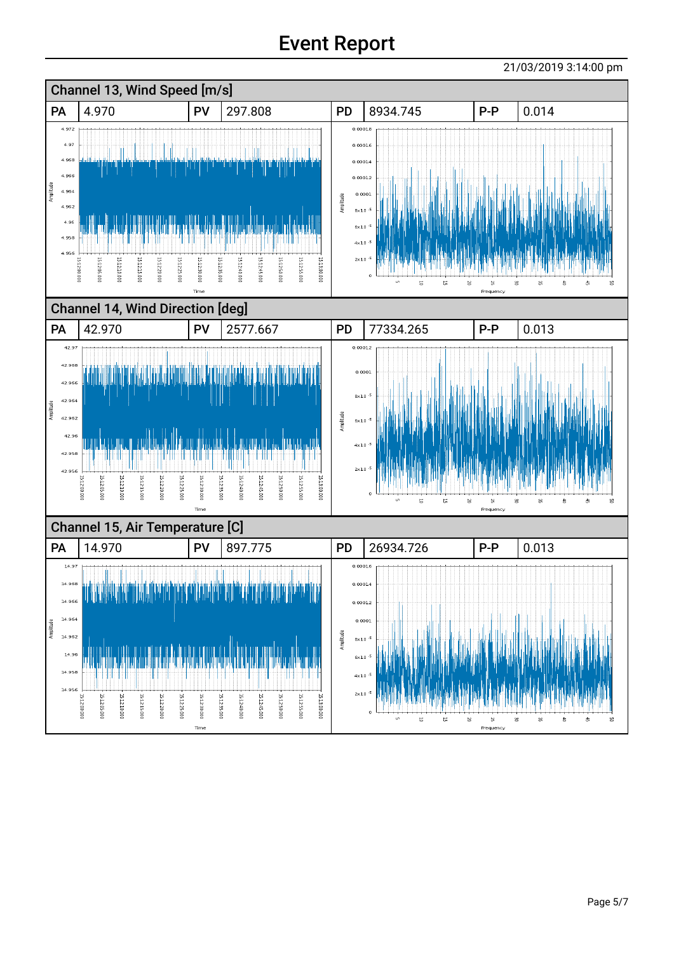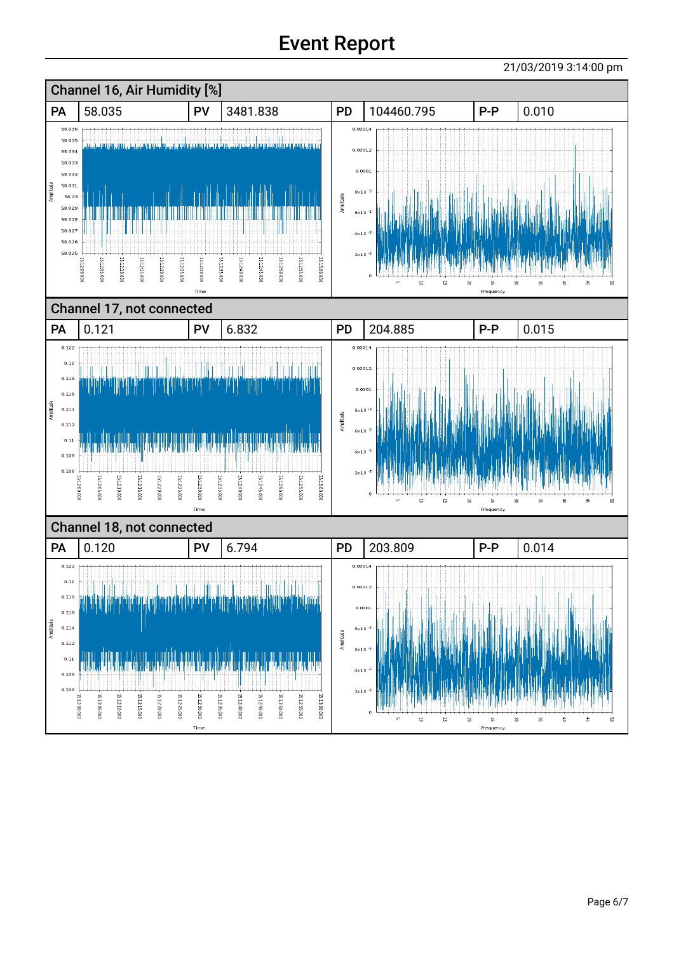